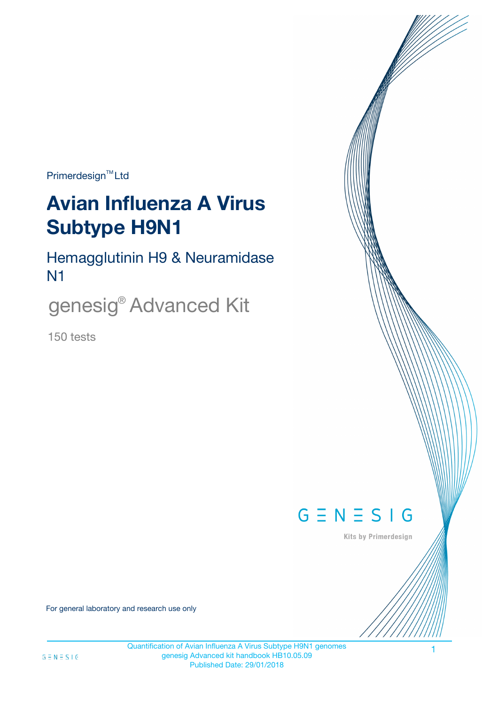Primerdesign<sup>™</sup>Ltd

# **Avian Influenza A Virus Subtype H9N1**

Hemagglutinin H9 & Neuramidase N1

genesig® Advanced Kit

150 tests



Kits by Primerdesign

1

For general laboratory and research use only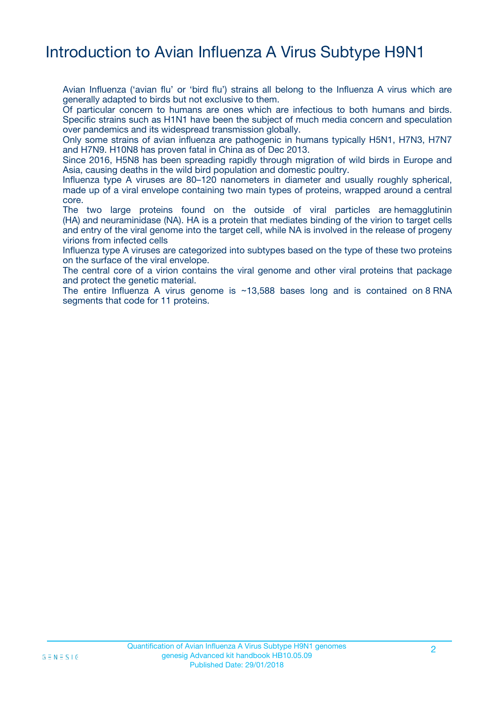## Introduction to Avian Influenza A Virus Subtype H9N1

Avian Influenza ('avian flu' or 'bird flu') strains all belong to the Influenza A virus which are generally adapted to birds but not exclusive to them.

Of particular concern to humans are ones which are infectious to both humans and birds. Specific strains such as H1N1 have been the subject of much media concern and speculation over pandemics and its widespread transmission globally.

Only some strains of avian influenza are pathogenic in humans typically H5N1, H7N3, H7N7 and H7N9. H10N8 has proven fatal in China as of Dec 2013.

Since 2016, H5N8 has been spreading rapidly through migration of wild birds in Europe and Asia, causing deaths in the wild bird population and domestic poultry.

Influenza type A viruses are 80–120 nanometers in diameter and usually roughly spherical, made up of a viral envelope containing two main types of proteins, wrapped around a central core.

The two large proteins found on the outside of viral particles are hemagglutinin (HA) and neuraminidase (NA). HA is a protein that mediates binding of the virion to target cells and entry of the viral genome into the target cell, while NA is involved in the release of progeny virions from infected cells

Influenza type A viruses are categorized into subtypes based on the type of these two proteins on the surface of the viral envelope.

The central core of a virion contains the viral genome and other viral proteins that package and protect the genetic material.

The entire Influenza A virus genome is  $\sim$  13,588 bases long and is contained on 8 RNA segments that code for 11 proteins.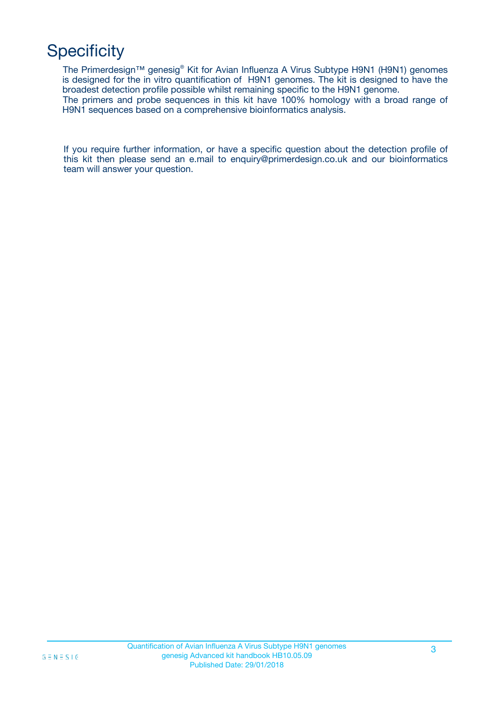# **Specificity**

The Primerdesign™ genesig® Kit for Avian Influenza A Virus Subtype H9N1 (H9N1) genomes is designed for the in vitro quantification of H9N1 genomes. The kit is designed to have the broadest detection profile possible whilst remaining specific to the H9N1 genome. The primers and probe sequences in this kit have 100% homology with a broad range of H9N1 sequences based on a comprehensive bioinformatics analysis.

If you require further information, or have a specific question about the detection profile of this kit then please send an e.mail to enquiry@primerdesign.co.uk and our bioinformatics team will answer your question.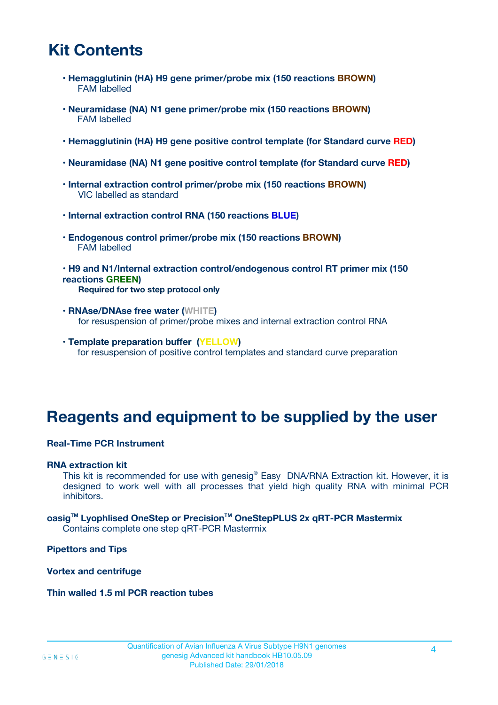# **Kit Contents**

- **Hemagglutinin (HA) H9 gene primer/probe mix (150 reactions BROWN)** FAM labelled
- **Neuramidase (NA) N1 gene primer/probe mix (150 reactions BROWN)** FAM labelled
- **Hemagglutinin (HA) H9 gene positive control template (for Standard curve RED)**
- **Neuramidase (NA) N1 gene positive control template (for Standard curve RED)**
- **Internal extraction control primer/probe mix (150 reactions BROWN)** VIC labelled as standard
- **Internal extraction control RNA (150 reactions BLUE)**
- **Endogenous control primer/probe mix (150 reactions BROWN)** FAM labelled
- **H9 and N1/Internal extraction control/endogenous control RT primer mix (150 reactions GREEN) Required for two step protocol only**
- **RNAse/DNAse free water (WHITE)** for resuspension of primer/probe mixes and internal extraction control RNA
- **Template preparation buffer (YELLOW)** for resuspension of positive control templates and standard curve preparation

## **Reagents and equipment to be supplied by the user**

#### **Real-Time PCR Instrument**

#### **RNA extraction kit**

This kit is recommended for use with genesig® Easy DNA/RNA Extraction kit. However, it is designed to work well with all processes that yield high quality RNA with minimal PCR inhibitors.

**oasigTM Lyophlised OneStep or PrecisionTM OneStepPLUS 2x qRT-PCR Mastermix** Contains complete one step qRT-PCR Mastermix

**Pipettors and Tips**

**Vortex and centrifuge**

**Thin walled 1.5 ml PCR reaction tubes**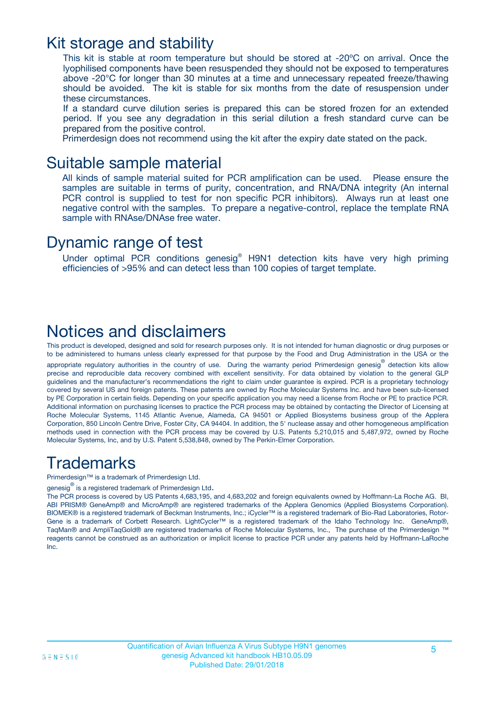### Kit storage and stability

This kit is stable at room temperature but should be stored at -20ºC on arrival. Once the lyophilised components have been resuspended they should not be exposed to temperatures above -20°C for longer than 30 minutes at a time and unnecessary repeated freeze/thawing should be avoided. The kit is stable for six months from the date of resuspension under these circumstances.

If a standard curve dilution series is prepared this can be stored frozen for an extended period. If you see any degradation in this serial dilution a fresh standard curve can be prepared from the positive control.

Primerdesign does not recommend using the kit after the expiry date stated on the pack.

### Suitable sample material

All kinds of sample material suited for PCR amplification can be used. Please ensure the samples are suitable in terms of purity, concentration, and RNA/DNA integrity (An internal PCR control is supplied to test for non specific PCR inhibitors). Always run at least one negative control with the samples. To prepare a negative-control, replace the template RNA sample with RNAse/DNAse free water.

### Dynamic range of test

Under optimal PCR conditions genesig® H9N1 detection kits have very high priming efficiencies of >95% and can detect less than 100 copies of target template.

# Notices and disclaimers

This product is developed, designed and sold for research purposes only. It is not intended for human diagnostic or drug purposes or to be administered to humans unless clearly expressed for that purpose by the Food and Drug Administration in the USA or the appropriate regulatory authorities in the country of use. During the warranty period Primerdesign genesig<sup>®</sup> detection kits allow precise and reproducible data recovery combined with excellent sensitivity. For data obtained by violation to the general GLP guidelines and the manufacturer's recommendations the right to claim under guarantee is expired. PCR is a proprietary technology covered by several US and foreign patents. These patents are owned by Roche Molecular Systems Inc. and have been sub-licensed by PE Corporation in certain fields. Depending on your specific application you may need a license from Roche or PE to practice PCR. Additional information on purchasing licenses to practice the PCR process may be obtained by contacting the Director of Licensing at Roche Molecular Systems, 1145 Atlantic Avenue, Alameda, CA 94501 or Applied Biosystems business group of the Applera Corporation, 850 Lincoln Centre Drive, Foster City, CA 94404. In addition, the 5' nuclease assay and other homogeneous amplification methods used in connection with the PCR process may be covered by U.S. Patents 5,210,015 and 5,487,972, owned by Roche Molecular Systems, Inc, and by U.S. Patent 5,538,848, owned by The Perkin-Elmer Corporation.

# **Trademarks**

Primerdesign™ is a trademark of Primerdesign Ltd.

genesig $^\circledR$  is a registered trademark of Primerdesign Ltd.

The PCR process is covered by US Patents 4,683,195, and 4,683,202 and foreign equivalents owned by Hoffmann-La Roche AG. BI, ABI PRISM® GeneAmp® and MicroAmp® are registered trademarks of the Applera Genomics (Applied Biosystems Corporation). BIOMEK® is a registered trademark of Beckman Instruments, Inc.; iCycler™ is a registered trademark of Bio-Rad Laboratories, Rotor-Gene is a trademark of Corbett Research. LightCycler™ is a registered trademark of the Idaho Technology Inc. GeneAmp®, TaqMan® and AmpliTaqGold® are registered trademarks of Roche Molecular Systems, Inc., The purchase of the Primerdesign ™ reagents cannot be construed as an authorization or implicit license to practice PCR under any patents held by Hoffmann-LaRoche Inc.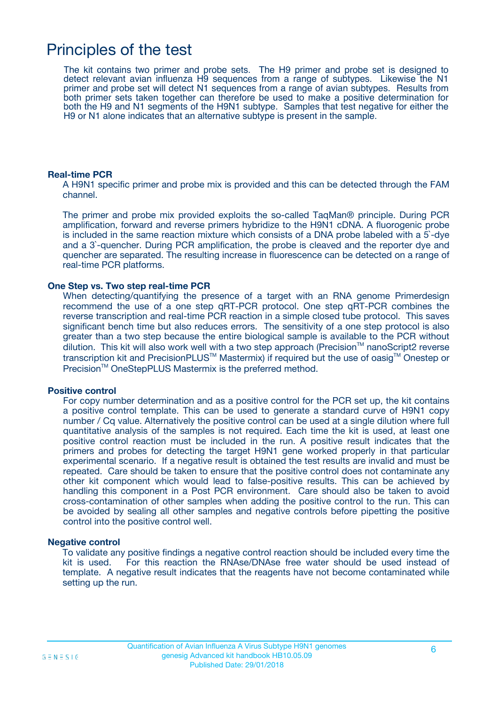## Principles of the test

The kit contains two primer and probe sets. The H9 primer and probe set is designed to detect relevant avian influenza H9 sequences from a range of subtypes. Likewise the N1 primer and probe set will detect N1 sequences from a range of avian subtypes. Results from both primer sets taken together can therefore be used to make a positive determination for both the H9 and N1 segments of the H9N1 subtype. Samples that test negative for either the H9 or N1 alone indicates that an alternative subtype is present in the sample.

#### **Real-time PCR**

A H9N1 specific primer and probe mix is provided and this can be detected through the FAM channel.

The primer and probe mix provided exploits the so-called TaqMan® principle. During PCR amplification, forward and reverse primers hybridize to the H9N1 cDNA. A fluorogenic probe is included in the same reaction mixture which consists of a DNA probe labeled with a 5`-dye and a 3`-quencher. During PCR amplification, the probe is cleaved and the reporter dye and quencher are separated. The resulting increase in fluorescence can be detected on a range of real-time PCR platforms.

#### **One Step vs. Two step real-time PCR**

When detecting/quantifying the presence of a target with an RNA genome Primerdesign recommend the use of a one step qRT-PCR protocol. One step qRT-PCR combines the reverse transcription and real-time PCR reaction in a simple closed tube protocol. This saves significant bench time but also reduces errors. The sensitivity of a one step protocol is also greater than a two step because the entire biological sample is available to the PCR without dilution. This kit will also work well with a two step approach (Precision™ nanoScript2 reverse transcription kit and PrecisionPLUS™ Mastermix) if required but the use of oasig™ Onestep or Precision™ OneStepPLUS Mastermix is the preferred method.

#### **Positive control**

For copy number determination and as a positive control for the PCR set up, the kit contains a positive control template. This can be used to generate a standard curve of H9N1 copy number / Cq value. Alternatively the positive control can be used at a single dilution where full quantitative analysis of the samples is not required. Each time the kit is used, at least one positive control reaction must be included in the run. A positive result indicates that the primers and probes for detecting the target H9N1 gene worked properly in that particular experimental scenario. If a negative result is obtained the test results are invalid and must be repeated. Care should be taken to ensure that the positive control does not contaminate any other kit component which would lead to false-positive results. This can be achieved by handling this component in a Post PCR environment. Care should also be taken to avoid cross-contamination of other samples when adding the positive control to the run. This can be avoided by sealing all other samples and negative controls before pipetting the positive control into the positive control well.

#### **Negative control**

To validate any positive findings a negative control reaction should be included every time the kit is used. For this reaction the RNAse/DNAse free water should be used instead of template. A negative result indicates that the reagents have not become contaminated while setting up the run.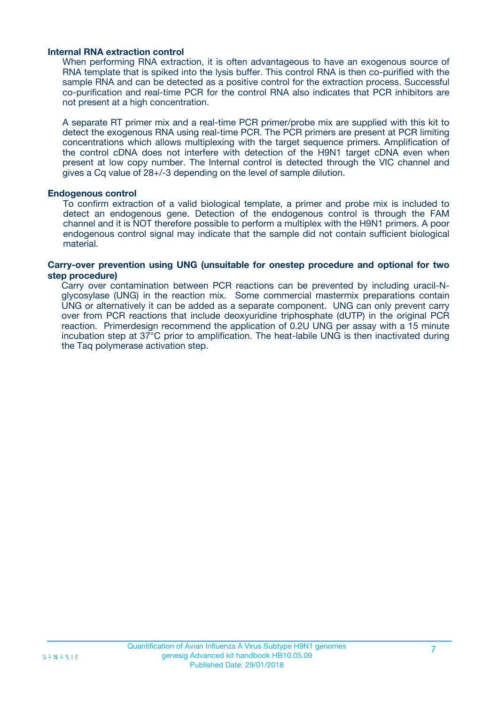#### **Internal RNA extraction control**

When performing RNA extraction, it is often advantageous to have an exogenous source of RNA template that is spiked into the lysis buffer. This control RNA is then co-purified with the sample RNA and can be detected as a positive control for the extraction process. Successful co-purification and real-time PCR for the control RNA also indicates that PCR inhibitors are not present at a high concentration.

A separate RT primer mix and a real-time PCR primer/probe mix are supplied with this kit to detect the exogenous RNA using real-time PCR. The PCR primers are present at PCR limiting concentrations which allows multiplexing with the target sequence primers. Amplification of the control cDNA does not interfere with detection of the H9N1 target cDNA even when present at low copy number. The Internal control is detected through the VIC channel and gives a Cq value of 28+/-3 depending on the level of sample dilution.

#### **Endogenous control**

To confirm extraction of a valid biological template, a primer and probe mix is included to detect an endogenous gene. Detection of the endogenous control is through the FAM channel and it is NOT therefore possible to perform a multiplex with the H9N1 primers. A poor endogenous control signal may indicate that the sample did not contain sufficient biological material.

#### **Carry-over prevention using UNG (unsuitable for onestep procedure and optional for two step procedure)**

Carry over contamination between PCR reactions can be prevented by including uracil-Nglycosylase (UNG) in the reaction mix. Some commercial mastermix preparations contain UNG or alternatively it can be added as a separate component. UNG can only prevent carry over from PCR reactions that include deoxyuridine triphosphate (dUTP) in the original PCR reaction. Primerdesign recommend the application of 0.2U UNG per assay with a 15 minute incubation step at 37°C prior to amplification. The heat-labile UNG is then inactivated during the Taq polymerase activation step.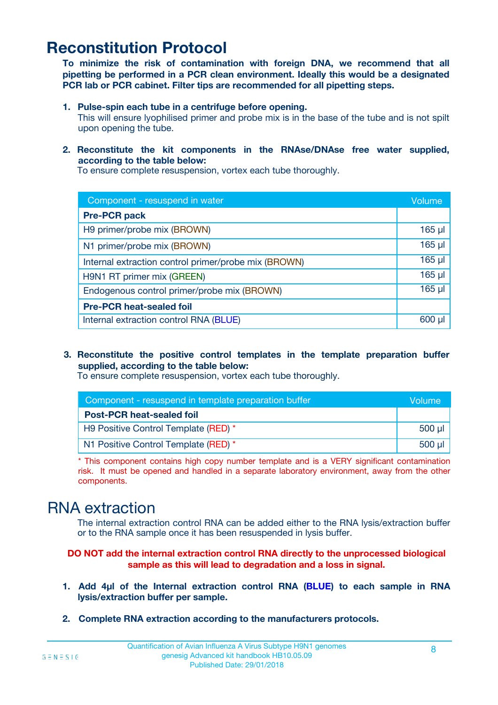# **Reconstitution Protocol**

**To minimize the risk of contamination with foreign DNA, we recommend that all pipetting be performed in a PCR clean environment. Ideally this would be a designated PCR lab or PCR cabinet. Filter tips are recommended for all pipetting steps.**

**1. Pulse-spin each tube in a centrifuge before opening.**

This will ensure lyophilised primer and probe mix is in the base of the tube and is not spilt upon opening the tube.

**2. Reconstitute the kit components in the RNAse/DNAse free water supplied, according to the table below:**

To ensure complete resuspension, vortex each tube thoroughly.

| Component - resuspend in water                       |             |  |
|------------------------------------------------------|-------------|--|
| <b>Pre-PCR pack</b>                                  |             |  |
| H9 primer/probe mix (BROWN)                          | $165$ µl    |  |
| N1 primer/probe mix (BROWN)                          | 165 µl      |  |
| Internal extraction control primer/probe mix (BROWN) | $165$ µl    |  |
| H9N1 RT primer mix (GREEN)                           | $165$ $\mu$ |  |
| Endogenous control primer/probe mix (BROWN)          | $165$ $\mu$ |  |
| <b>Pre-PCR heat-sealed foil</b>                      |             |  |
| Internal extraction control RNA (BLUE)               | 600 ul      |  |

**3. Reconstitute the positive control templates in the template preparation buffer supplied, according to the table below:**

To ensure complete resuspension, vortex each tube thoroughly.

| Component - resuspend in template preparation buffer |          |  |
|------------------------------------------------------|----------|--|
| <b>Post-PCR heat-sealed foil</b>                     |          |  |
| H9 Positive Control Template (RED) *                 | $500$ µl |  |
| N1 Positive Control Template (RED) *                 | $500$ µl |  |

\* This component contains high copy number template and is a VERY significant contamination risk. It must be opened and handled in a separate laboratory environment, away from the other components.

### RNA extraction

The internal extraction control RNA can be added either to the RNA lysis/extraction buffer or to the RNA sample once it has been resuspended in lysis buffer.

#### **DO NOT add the internal extraction control RNA directly to the unprocessed biological sample as this will lead to degradation and a loss in signal.**

- **1. Add 4µl of the Internal extraction control RNA (BLUE) to each sample in RNA lysis/extraction buffer per sample.**
- **2. Complete RNA extraction according to the manufacturers protocols.**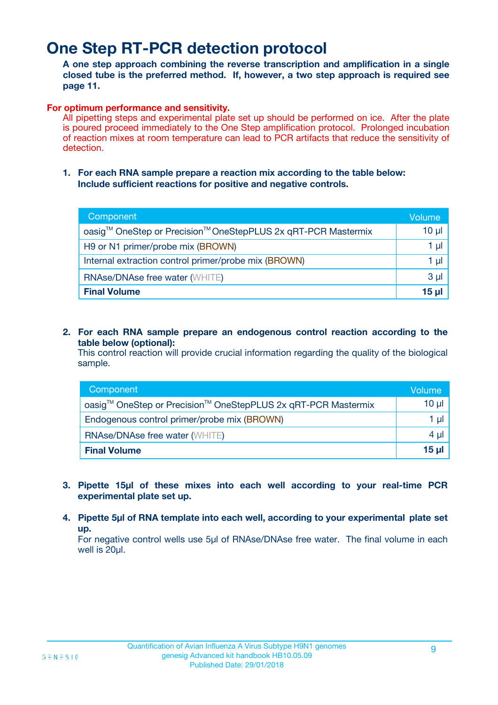# **One Step RT-PCR detection protocol**

**A one step approach combining the reverse transcription and amplification in a single closed tube is the preferred method. If, however, a two step approach is required see page 11.**

#### **For optimum performance and sensitivity.**

All pipetting steps and experimental plate set up should be performed on ice. After the plate is poured proceed immediately to the One Step amplification protocol. Prolonged incubation of reaction mixes at room temperature can lead to PCR artifacts that reduce the sensitivity of detection.

**1. For each RNA sample prepare a reaction mix according to the table below: Include sufficient reactions for positive and negative controls.**

| Component                                                     | Volume          |
|---------------------------------------------------------------|-----------------|
| oasig™ OneStep or Precision™ OneStepPLUS 2x qRT-PCR Mastermix | $10 \mu$        |
| H9 or N1 primer/probe mix (BROWN)                             | 1 µl            |
| Internal extraction control primer/probe mix (BROWN)          | 1 µl            |
| <b>RNAse/DNAse free water (WHITE)</b>                         | 3 <sub>µ</sub>  |
| <b>Final Volume</b>                                           | 15 <sub>µ</sub> |

**2. For each RNA sample prepare an endogenous control reaction according to the table below (optional):**

This control reaction will provide crucial information regarding the quality of the biological sample.

| Component                                                     | Volume   |
|---------------------------------------------------------------|----------|
| oasig™ OneStep or Precision™ OneStepPLUS 2x qRT-PCR Mastermix | $10 \mu$ |
| Endogenous control primer/probe mix (BROWN)                   | 1 µl     |
| <b>RNAse/DNAse free water (WHITE)</b>                         | $4 \mu$  |
| <b>Final Volume</b>                                           | $15 \mu$ |

- **3. Pipette 15µl of these mixes into each well according to your real-time PCR experimental plate set up.**
- **4. Pipette 5µl of RNA template into each well, according to your experimental plate set up.**

For negative control wells use 5µl of RNAse/DNAse free water. The final volume in each well is 20µl.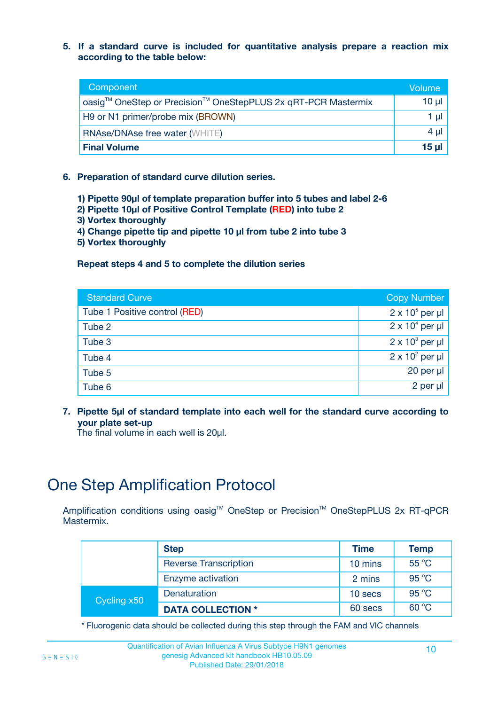**5. If a standard curve is included for quantitative analysis prepare a reaction mix according to the table below:**

| Component                                                     | Volume  |
|---------------------------------------------------------------|---------|
| oasig™ OneStep or Precision™ OneStepPLUS 2x qRT-PCR Mastermix | 10 µl   |
| H9 or N1 primer/probe mix (BROWN)                             | 1 $\mu$ |
| <b>RNAse/DNAse free water (WHITE)</b>                         | $4 \mu$ |
| <b>Final Volume</b>                                           | $15$ µl |

- **6. Preparation of standard curve dilution series.**
	- **1) Pipette 90µl of template preparation buffer into 5 tubes and label 2-6**
	- **2) Pipette 10µl of Positive Control Template (RED) into tube 2**
	- **3) Vortex thoroughly**
	- **4) Change pipette tip and pipette 10 µl from tube 2 into tube 3**
	- **5) Vortex thoroughly**

#### **Repeat steps 4 and 5 to complete the dilution series**

| <b>Standard Curve</b>         | <b>Copy Number</b>     |
|-------------------------------|------------------------|
| Tube 1 Positive control (RED) | $2 \times 10^5$ per µl |
| Tube 2                        | $2 \times 10^4$ per µl |
| Tube 3                        | $2 \times 10^3$ per µl |
| Tube 4                        | $2 \times 10^2$ per µl |
| Tube 5                        | $20$ per $\mu$         |
| Tube 6                        | 2 per µl               |

**7. Pipette 5µl of standard template into each well for the standard curve according to your plate set-up**

The final volume in each well is 20ul.

# One Step Amplification Protocol

Amplification conditions using oasig™ OneStep or Precision™ OneStepPLUS 2x RT-qPCR Mastermix.

|             | <b>Step</b>                  | <b>Time</b> | <b>Temp</b>    |
|-------------|------------------------------|-------------|----------------|
|             | <b>Reverse Transcription</b> | 10 mins     | $55^{\circ}$ C |
|             | Enzyme activation            | 2 mins      | $95^{\circ}$ C |
| Cycling x50 | Denaturation                 | 10 secs     | $95^{\circ}$ C |
|             | <b>DATA COLLECTION *</b>     | 60 secs     | 60 °C          |

\* Fluorogenic data should be collected during this step through the FAM and VIC channels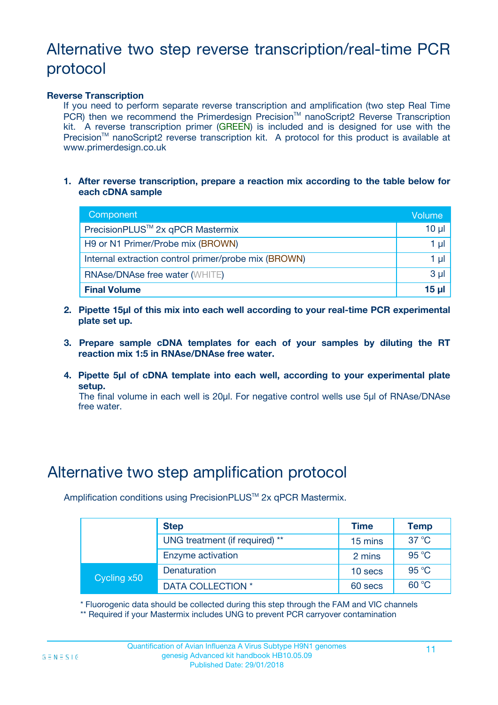# Alternative two step reverse transcription/real-time PCR protocol

#### **Reverse Transcription**

If you need to perform separate reverse transcription and amplification (two step Real Time PCR) then we recommend the Primerdesign Precision™ nanoScript2 Reverse Transcription kit. A reverse transcription primer (GREEN) is included and is designed for use with the Precision<sup>™</sup> nanoScript2 reverse transcription kit. A protocol for this product is available at www.primerdesign.co.uk

**1. After reverse transcription, prepare a reaction mix according to the table below for each cDNA sample**

| Component                                            | Volume   |
|------------------------------------------------------|----------|
| PrecisionPLUS <sup>™</sup> 2x qPCR Mastermix         | $10 \mu$ |
| H9 or N1 Primer/Probe mix (BROWN)                    | 1 µI     |
| Internal extraction control primer/probe mix (BROWN) | 1 µI     |
| <b>RNAse/DNAse free water (WHITE)</b>                | $3 \mu$  |
| <b>Final Volume</b>                                  | $15 \mu$ |

- **2. Pipette 15µl of this mix into each well according to your real-time PCR experimental plate set up.**
- **3. Prepare sample cDNA templates for each of your samples by diluting the RT reaction mix 1:5 in RNAse/DNAse free water.**
- **4. Pipette 5µl of cDNA template into each well, according to your experimental plate setup.**

The final volume in each well is 20µl. For negative control wells use 5µl of RNAse/DNAse free water.

### Alternative two step amplification protocol

Amplification conditions using PrecisionPLUS<sup>™</sup> 2x qPCR Mastermix.

|             | <b>Step</b>                    | Time    | <b>Temp</b>    |
|-------------|--------------------------------|---------|----------------|
|             | UNG treatment (if required) ** | 15 mins | $37^{\circ}$ C |
|             | Enzyme activation              | 2 mins  | 95 °C          |
| Cycling x50 | Denaturation                   | 10 secs | 95 $\degree$ C |
|             | DATA COLLECTION *              | 60 secs | $60^{\circ}$ C |

\* Fluorogenic data should be collected during this step through the FAM and VIC channels \*\* Required if your Mastermix includes UNG to prevent PCR carryover contamination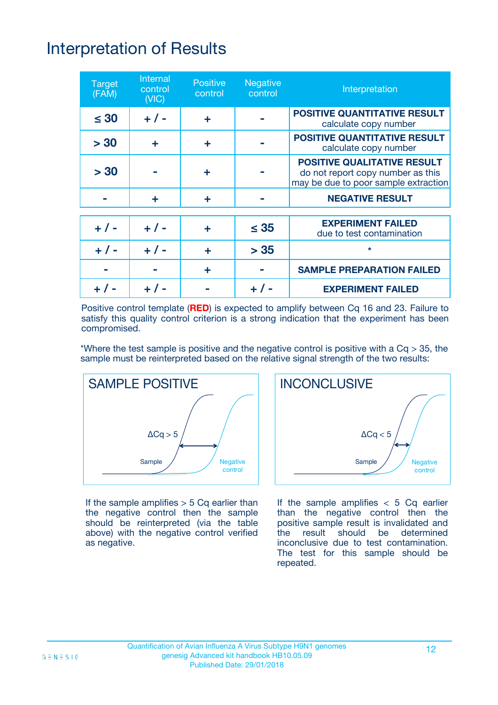# Interpretation of Results

| <b>Target</b><br>(FAM) | Internal<br>control<br>(NIC) | <b>Positive</b><br>control | <b>Negative</b><br>control | Interpretation                                                                                                  |
|------------------------|------------------------------|----------------------------|----------------------------|-----------------------------------------------------------------------------------------------------------------|
| $\leq 30$              | $+ 1 -$                      | ÷                          |                            | <b>POSITIVE QUANTITATIVE RESULT</b><br>calculate copy number                                                    |
| > 30                   | ÷                            | ÷                          |                            | <b>POSITIVE QUANTITATIVE RESULT</b><br>calculate copy number                                                    |
| > 30                   |                              | ÷                          |                            | <b>POSITIVE QUALITATIVE RESULT</b><br>do not report copy number as this<br>may be due to poor sample extraction |
|                        | ÷                            | ÷                          |                            | <b>NEGATIVE RESULT</b>                                                                                          |
| $+1$                   | $+ 1 -$                      | ÷                          | $\leq 35$                  | <b>EXPERIMENT FAILED</b><br>due to test contamination                                                           |
|                        | $+ 1 -$                      | ÷                          | > 35                       | $\star$                                                                                                         |
|                        |                              | ÷                          |                            | <b>SAMPLE PREPARATION FAILED</b>                                                                                |
|                        |                              |                            |                            | <b>EXPERIMENT FAILED</b>                                                                                        |

Positive control template (**RED**) is expected to amplify between Cq 16 and 23. Failure to satisfy this quality control criterion is a strong indication that the experiment has been compromised.

\*Where the test sample is positive and the negative control is positive with a  $Cq > 35$ , the sample must be reinterpreted based on the relative signal strength of the two results:



If the sample amplifies  $> 5$  Cq earlier than the negative control then the sample should be reinterpreted (via the table above) with the negative control verified as negative.



If the sample amplifies  $<$  5 Cq earlier than the negative control then the positive sample result is invalidated and the result should be determined inconclusive due to test contamination. The test for this sample should be repeated.